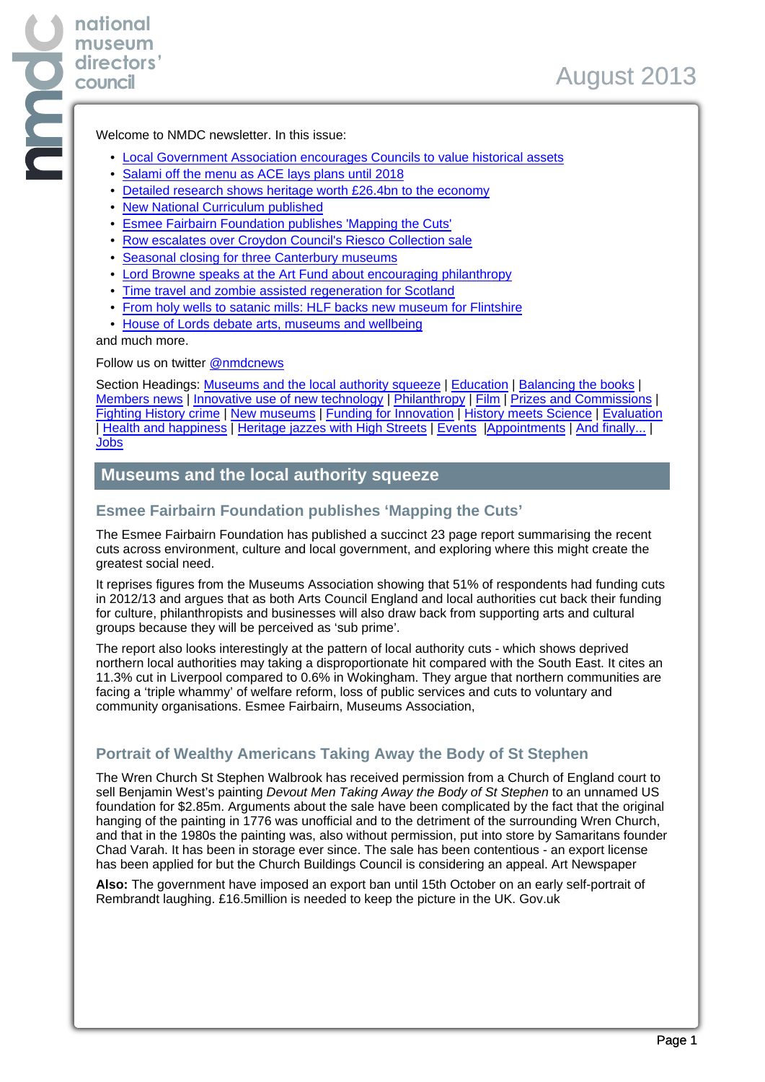Welcome to NMDC newsletter. In this issue:

- Local Government Association encourages Councils to value historical assets
- Salami off the menu as ACE lays plans until 2018
- Detailed research shows heritage worth £26.4bn to the economy
- New National Curriculum published
- Esmee Fairbairn Foundation publishes 'Mapping the Cuts'
- Row escalates over Croydon Council's Riesco Collection sale
- Seasonal closing for three Canterbury museums
- Lord Browne speaks at the Art Fund about encouraging philanthropy
- Time travel and zombie assisted regeneration for Scotland
- From holy wells to satanic mills: HLF backs new museum for Flintshire
- House of Lords debate arts, museums and wellbeing

and much more.

**national museum directors' council**

Follow us on twitter [@nmdcnews](https://twitter.com/nmdcnews)

Section Headings: Museums and the local authority squeeze | Education | Balancing the books | Members news | Innovative use of new technology | Philanthropy | Film | Prizes and Commissions | Fighting History crime | New museums | Funding for Innovation | History meets Science | Evaluation | Health and happiness | Heritage jazzes with High Streets | Events |Appointments | And finally... | Jobs

## **Museums and the local authority squeeze**

### **Esmee Fairbairn Foundation publishes 'Mapping the Cuts'**

The Esmee Fairbairn Foundation has published a succinct 23 page report summarising the recent cuts across environment, culture and local government, and exploring where this might create the greatest social need.

It reprises figures from the Museums Association showing that 51% of respondents had funding cuts in 2012/13 and argues that as both Arts Council England and local authorities cut back their funding for culture, philanthropists and businesses will also draw back from supporting arts and cultural groups because they will be perceived as 'sub prime'.

The report also looks interestingly at the pattern of local authority cuts - which shows deprived northern local authorities may taking a disproportionate hit compared with the South East. It cites an 11.3% cut in Liverpool compared to 0.6% in Wokingham. They argue that northern communities are facing a 'triple whammy' of welfare reform, loss of public services and cuts to voluntary and community organisations. Esmee Fairbairn, Museums Association,

## **Portrait of Wealthy Americans Taking Away the Body of St Stephen**

The Wren Church St Stephen Walbrook has received permission from a Church of England court to sell Benjamin West's painting Devout Men Taking Away the Body of St Stephen to an unnamed US foundation for \$2.85m. Arguments about the sale have been complicated by the fact that the original hanging of the painting in 1776 was unofficial and to the detriment of the surrounding Wren Church, and that in the 1980s the painting was, also without permission, put into store by Samaritans founder Chad Varah. It has been in storage ever since. The sale has been contentious - an export license has been applied for but the Church Buildings Council is considering an appeal. Art Newspaper

**Also:** The government have imposed an export ban until 15th October on an early self-portrait of Rembrandt laughing. £16.5million is needed to keep the picture in the UK. Gov.uk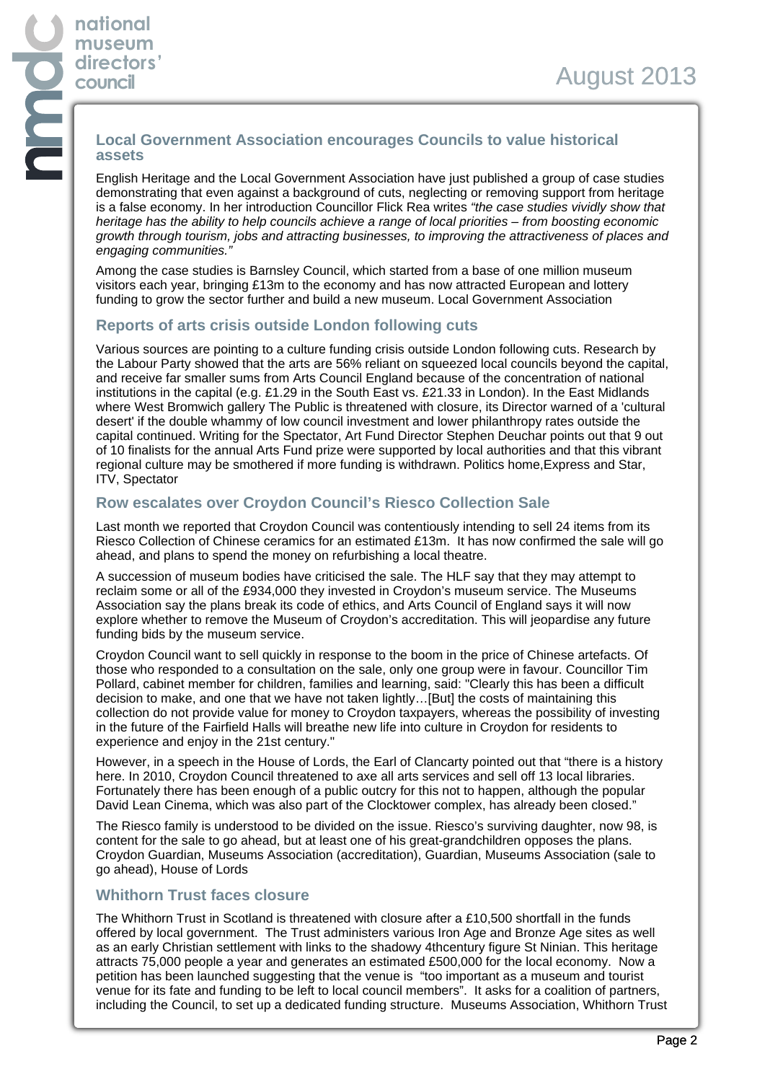### **Local Government Association encourages Councils to value historical assets**

English Heritage and the Local Government Association have just published a group of case studies demonstrating that even against a background of cuts, neglecting or removing support from heritage is a false economy. In her introduction Councillor Flick Rea writes "the case studies vividly show that heritage has the ability to help councils achieve a range of local priorities – from boosting economic growth through tourism, jobs and attracting businesses, to improving the attractiveness of places and engaging communities."

Among the case studies is Barnsley Council, which started from a base of one million museum visitors each year, bringing £13m to the economy and has now attracted European and lottery funding to grow the sector further and build a new museum. Local Government Association

## **Reports of arts crisis outside London following cuts**

Various sources are pointing to a culture funding crisis outside London following cuts. Research by the Labour Party showed that the arts are 56% reliant on squeezed local councils beyond the capital, and receive far smaller sums from Arts Council England because of the concentration of national institutions in the capital (e.g. £1.29 in the South East vs. £21.33 in London). In the East Midlands where West Bromwich gallery The Public is threatened with closure, its Director warned of a 'cultural desert' if the double whammy of low council investment and lower philanthropy rates outside the capital continued. Writing for the Spectator, Art Fund Director Stephen Deuchar points out that 9 out of 10 finalists for the annual Arts Fund prize were supported by local authorities and that this vibrant regional culture may be smothered if more funding is withdrawn. Politics home,Express and Star, ITV, Spectator

## **Row escalates over Croydon Council's Riesco Collection Sale**

Last month we reported that Croydon Council was contentiously intending to sell 24 items from its Riesco Collection of Chinese ceramics for an estimated £13m. It has now confirmed the sale will go ahead, and plans to spend the money on refurbishing a local theatre.

A succession of museum bodies have criticised the sale. The HLF say that they may attempt to reclaim some or all of the £934,000 they invested in Croydon's museum service. The Museums Association say the plans break its code of ethics, and Arts Council of England says it will now explore whether to remove the Museum of Croydon's accreditation. This will jeopardise any future funding bids by the museum service.

Croydon Council want to sell quickly in response to the boom in the price of Chinese artefacts. Of those who responded to a consultation on the sale, only one group were in favour. Councillor Tim Pollard, cabinet member for children, families and learning, said: "Clearly this has been a difficult decision to make, and one that we have not taken lightly…[But] the costs of maintaining this collection do not provide value for money to Croydon taxpayers, whereas the possibility of investing in the future of the Fairfield Halls will breathe new life into culture in Croydon for residents to experience and enjoy in the 21st century."

However, in a speech in the House of Lords, the Earl of Clancarty pointed out that "there is a history here. In 2010, Croydon Council threatened to axe all arts services and sell off 13 local libraries. Fortunately there has been enough of a public outcry for this not to happen, although the popular David Lean Cinema, which was also part of the Clocktower complex, has already been closed."

The Riesco family is understood to be divided on the issue. Riesco's surviving daughter, now 98, is content for the sale to go ahead, but at least one of his great-grandchildren opposes the plans. Croydon Guardian, Museums Association (accreditation), Guardian, Museums Association (sale to go ahead), House of Lords

# **Whithorn Trust faces closure**

The Whithorn Trust in Scotland is threatened with closure after a £10,500 shortfall in the funds offered by local government. The Trust administers various Iron Age and Bronze Age sites as well as an early Christian settlement with links to the shadowy 4thcentury figure St Ninian. This heritage attracts 75,000 people a year and generates an estimated £500,000 for the local economy. Now a petition has been launched suggesting that the venue is "too important as a museum and tourist venue for its fate and funding to be left to local council members". It asks for a coalition of partners, including the Council, to set up a dedicated funding structure. Museums Association, Whithorn Trust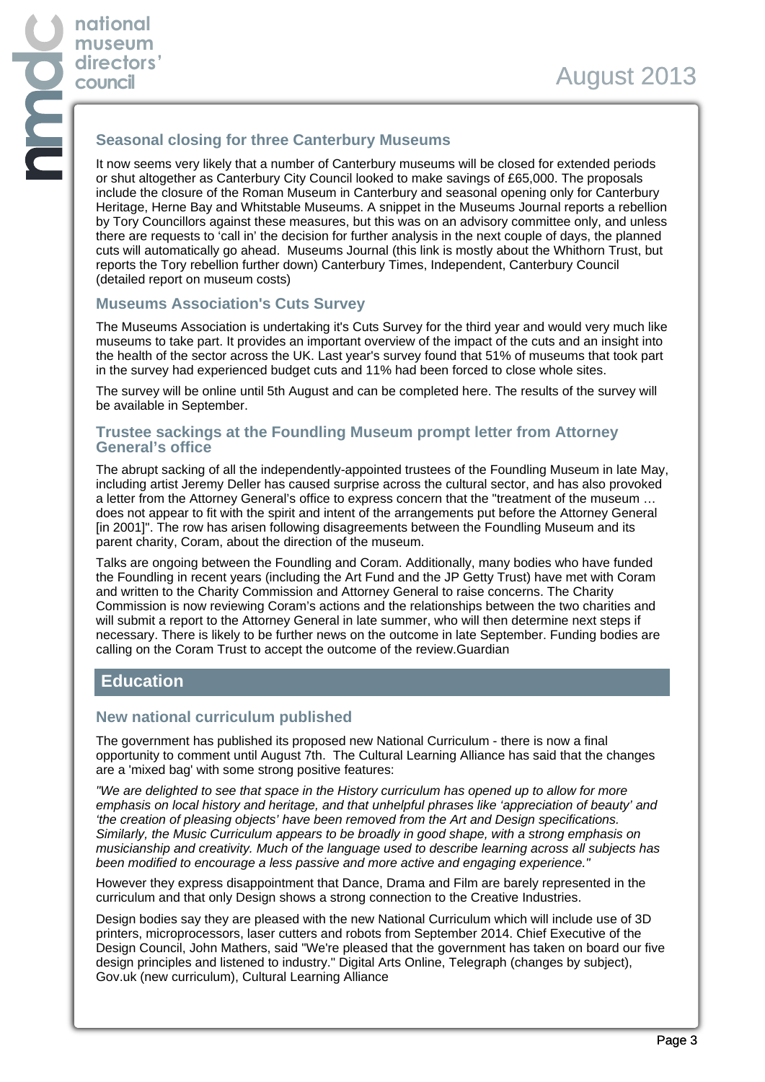# **Seasonal closing for three Canterbury Museums**

It now seems very likely that a number of Canterbury museums will be closed for extended periods or shut altogether as Canterbury City Council looked to make savings of £65,000. The proposals include the closure of the Roman Museum in Canterbury and seasonal opening only for Canterbury Heritage, Herne Bay and Whitstable Museums. A snippet in the Museums Journal reports a rebellion by Tory Councillors against these measures, but this was on an advisory committee only, and unless there are requests to 'call in' the decision for further analysis in the next couple of days, the planned cuts will automatically go ahead. Museums Journal (this link is mostly about the Whithorn Trust, but reports the Tory rebellion further down) Canterbury Times, Independent, Canterbury Council (detailed report on museum costs)

### **Museums Association's Cuts Survey**

The Museums Association is undertaking it's Cuts Survey for the third year and would very much like museums to take part. It provides an important overview of the impact of the cuts and an insight into the health of the sector across the UK. Last year's survey found that 51% of museums that took part in the survey had experienced budget cuts and 11% had been forced to close whole sites.

The survey will be online until 5th August and can be completed here. The results of the survey will be available in September.

#### **Trustee sackings at the Foundling Museum prompt letter from Attorney General's office**

The abrupt sacking of all the independently-appointed trustees of the Foundling Museum in late May, including artist Jeremy Deller has caused surprise across the cultural sector, and has also provoked a letter from the Attorney General's office to express concern that the "treatment of the museum … does not appear to fit with the spirit and intent of the arrangements put before the Attorney General [in 2001]". The row has arisen following disagreements between the Foundling Museum and its parent charity, Coram, about the direction of the museum.

Talks are ongoing between the Foundling and Coram. Additionally, many bodies who have funded the Foundling in recent years (including the Art Fund and the JP Getty Trust) have met with Coram and written to the Charity Commission and Attorney General to raise concerns. The Charity Commission is now reviewing Coram's actions and the relationships between the two charities and will submit a report to the Attorney General in late summer, who will then determine next steps if necessary. There is likely to be further news on the outcome in late September. Funding bodies are calling on the Coram Trust to accept the outcome of the review.Guardian

## **Education**

### **New national curriculum published**

The government has published its proposed new National Curriculum - there is now a final opportunity to comment until August 7th. The Cultural Learning Alliance has said that the changes are a 'mixed bag' with some strong positive features:

"We are delighted to see that space in the History curriculum has opened up to allow for more emphasis on local history and heritage, and that unhelpful phrases like 'appreciation of beauty' and 'the creation of pleasing objects' have been removed from the Art and Design specifications. Similarly, the Music Curriculum appears to be broadly in good shape, with a strong emphasis on musicianship and creativity. Much of the language used to describe learning across all subjects has been modified to encourage a less passive and more active and engaging experience."

However they express disappointment that Dance, Drama and Film are barely represented in the curriculum and that only Design shows a strong connection to the Creative Industries.

Design bodies say they are pleased with the new National Curriculum which will include use of 3D printers, microprocessors, laser cutters and robots from September 2014. Chief Executive of the Design Council, John Mathers, said "We're pleased that the government has taken on board our five design principles and listened to industry." Digital Arts Online, Telegraph (changes by subject), Gov.uk (new curriculum), Cultural Learning Alliance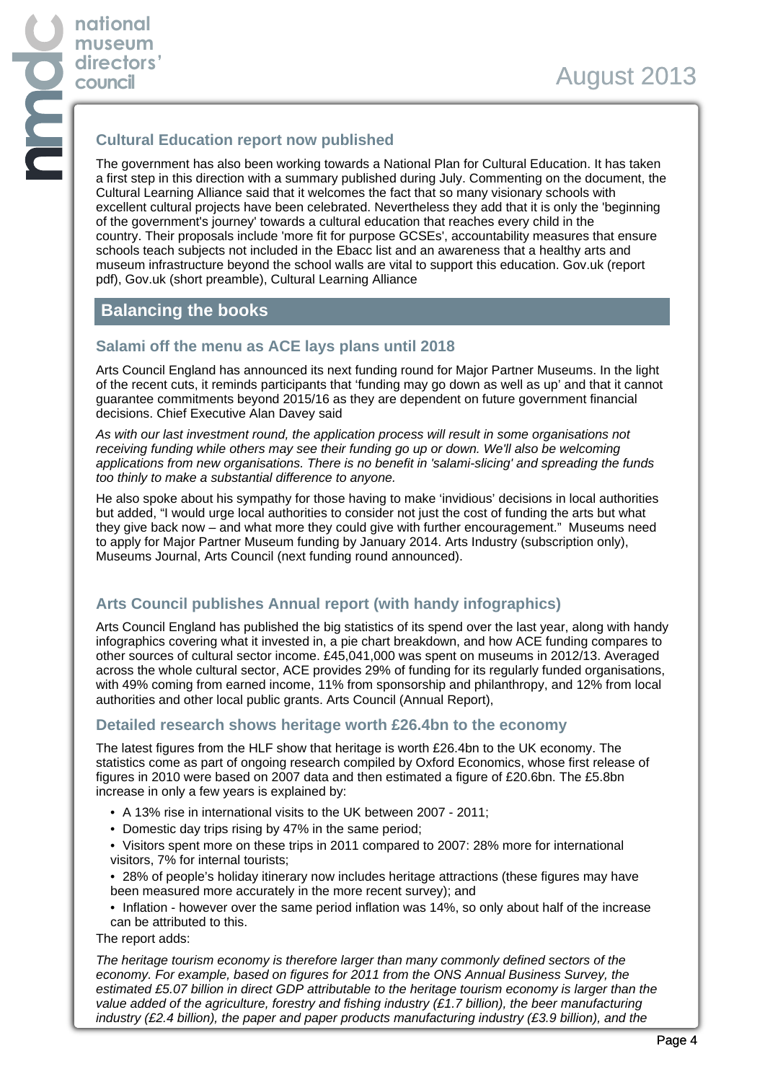## **Cultural Education report now published**

The government has also been working towards a National Plan for Cultural Education. It has taken a first step in this direction with a summary published during July. Commenting on the document, the Cultural Learning Alliance said that it welcomes the fact that so many visionary schools with excellent cultural projects have been celebrated. Nevertheless they add that it is only the 'beginning of the government's journey' towards a cultural education that reaches every child in the country. Their proposals include 'more fit for purpose GCSEs', accountability measures that ensure schools teach subjects not included in the Ebacc list and an awareness that a healthy arts and museum infrastructure beyond the school walls are vital to support this education. Gov.uk (report pdf), Gov.uk (short preamble), Cultural Learning Alliance

# **Balancing the books**

## **Salami off the menu as ACE lays plans until 2018**

Arts Council England has announced its next funding round for Major Partner Museums. In the light of the recent cuts, it reminds participants that 'funding may go down as well as up' and that it cannot guarantee commitments beyond 2015/16 as they are dependent on future government financial decisions. Chief Executive Alan Davey said

As with our last investment round, the application process will result in some organisations not receiving funding while others may see their funding go up or down. We'll also be welcoming applications from new organisations. There is no benefit in 'salami-slicing' and spreading the funds too thinly to make a substantial difference to anyone.

He also spoke about his sympathy for those having to make 'invidious' decisions in local authorities but added, "I would urge local authorities to consider not just the cost of funding the arts but what they give back now – and what more they could give with further encouragement." Museums need to apply for Major Partner Museum funding by January 2014. Arts Industry (subscription only), Museums Journal, Arts Council (next funding round announced).

# **Arts Council publishes Annual report (with handy infographics)**

Arts Council England has published the big statistics of its spend over the last year, along with handy infographics covering what it invested in, a pie chart breakdown, and how ACE funding compares to other sources of cultural sector income. £45,041,000 was spent on museums in 2012/13. Averaged across the whole cultural sector, ACE provides 29% of funding for its regularly funded organisations, with 49% coming from earned income, 11% from sponsorship and philanthropy, and 12% from local authorities and other local public grants. Arts Council (Annual Report),

## **Detailed research shows heritage worth £26.4bn to the economy**

The latest figures from the HLF show that heritage is worth £26.4bn to the UK economy. The statistics come as part of ongoing research compiled by Oxford Economics, whose first release of figures in 2010 were based on 2007 data and then estimated a figure of £20.6bn. The £5.8bn increase in only a few years is explained by:

- A 13% rise in international visits to the UK between 2007 2011;
- Domestic day trips rising by 47% in the same period;
- Visitors spent more on these trips in 2011 compared to 2007: 28% more for international visitors, 7% for internal tourists;
- 28% of people's holiday itinerary now includes heritage attractions (these figures may have been measured more accurately in the more recent survey); and
- Inflation however over the same period inflation was 14%, so only about half of the increase can be attributed to this.

The report adds:

The heritage tourism economy is therefore larger than many commonly defined sectors of the economy. For example, based on figures for 2011 from the ONS Annual Business Survey, the estimated £5.07 billion in direct GDP attributable to the heritage tourism economy is larger than the value added of the agriculture, forestry and fishing industry (£1.7 billion), the beer manufacturing industry (£2.4 billion), the paper and paper products manufacturing industry (£3.9 billion), and the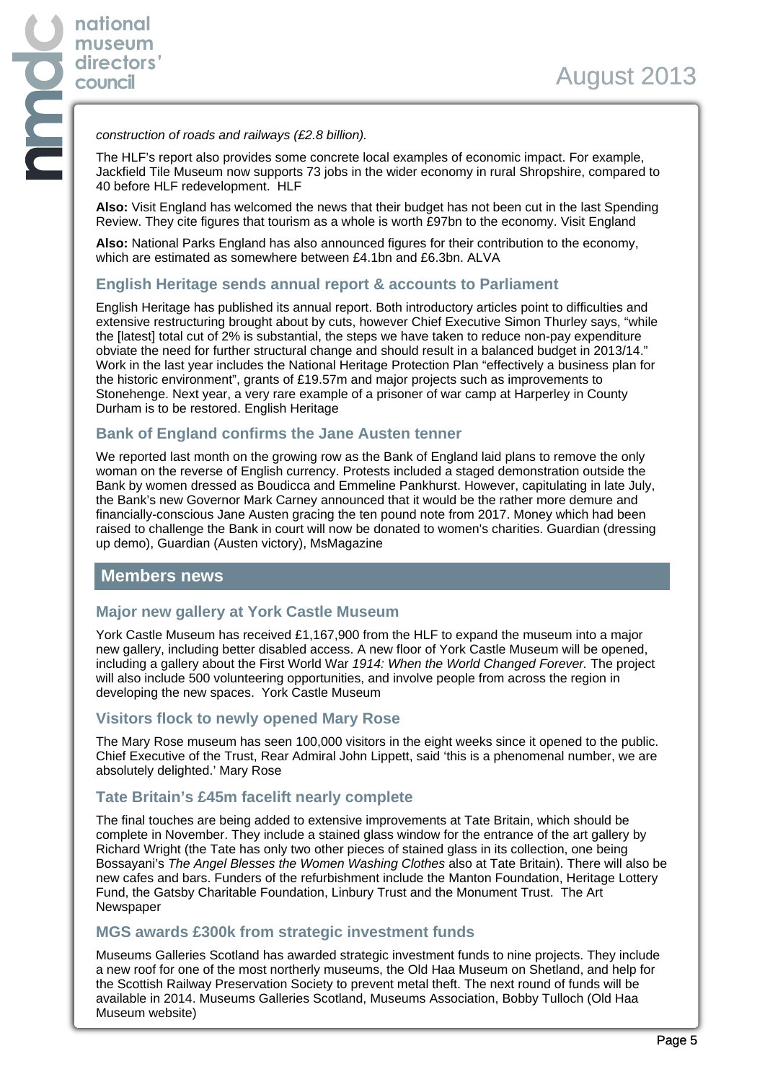#### construction of roads and railways (£2.8 billion).

The HLF's report also provides some concrete local examples of economic impact. For example, Jackfield Tile Museum now supports 73 jobs in the wider economy in rural Shropshire, compared to 40 before HLF redevelopment. HLF

**Also:** Visit England has welcomed the news that their budget has not been cut in the last Spending Review. They cite figures that tourism as a whole is worth £97bn to the economy. Visit England

**Also:** National Parks England has also announced figures for their contribution to the economy, which are estimated as somewhere between £4.1bn and £6.3bn. ALVA

#### **English Heritage sends annual report & accounts to Parliament**

English Heritage has published its annual report. Both introductory articles point to difficulties and extensive restructuring brought about by cuts, however Chief Executive Simon Thurley says, "while the [latest] total cut of 2% is substantial, the steps we have taken to reduce non-pay expenditure obviate the need for further structural change and should result in a balanced budget in 2013/14." Work in the last year includes the National Heritage Protection Plan "effectively a business plan for the historic environment", grants of £19.57m and major projects such as improvements to Stonehenge. Next year, a very rare example of a prisoner of war camp at Harperley in County Durham is to be restored. English Heritage

### **Bank of England confirms the Jane Austen tenner**

We reported last month on the growing row as the Bank of England laid plans to remove the only woman on the reverse of English currency. Protests included a staged demonstration outside the Bank by women dressed as Boudicca and Emmeline Pankhurst. However, capitulating in late July, the Bank's new Governor Mark Carney announced that it would be the rather more demure and financially-conscious Jane Austen gracing the ten pound note from 2017. Money which had been raised to challenge the Bank in court will now be donated to women's charities. Guardian (dressing up demo), Guardian (Austen victory), MsMagazine

### **Members news**

### **Major new gallery at York Castle Museum**

York Castle Museum has received £1,167,900 from the HLF to expand the museum into a major new gallery, including better disabled access. A new floor of York Castle Museum will be opened, including a gallery about the First World War 1914: When the World Changed Forever. The project will also include 500 volunteering opportunities, and involve people from across the region in developing the new spaces. York Castle Museum

#### **Visitors flock to newly opened Mary Rose**

The Mary Rose museum has seen 100,000 visitors in the eight weeks since it opened to the public. Chief Executive of the Trust, Rear Admiral John Lippett, said 'this is a phenomenal number, we are absolutely delighted.' Mary Rose

### **Tate Britain's £45m facelift nearly complete**

The final touches are being added to extensive improvements at Tate Britain, which should be complete in November. They include a stained glass window for the entrance of the art gallery by Richard Wright (the Tate has only two other pieces of stained glass in its collection, one being Bossayani's The Angel Blesses the Women Washing Clothes also at Tate Britain). There will also be new cafes and bars. Funders of the refurbishment include the Manton Foundation, Heritage Lottery Fund, the Gatsby Charitable Foundation, Linbury Trust and the Monument Trust. The Art Newspaper

#### **MGS awards £300k from strategic investment funds**

Museums Galleries Scotland has awarded strategic investment funds to nine projects. They include a new roof for one of the most northerly museums, the Old Haa Museum on Shetland, and help for the Scottish Railway Preservation Society to prevent metal theft. The next round of funds will be available in 2014. Museums Galleries Scotland, Museums Association, Bobby Tulloch (Old Haa Museum website)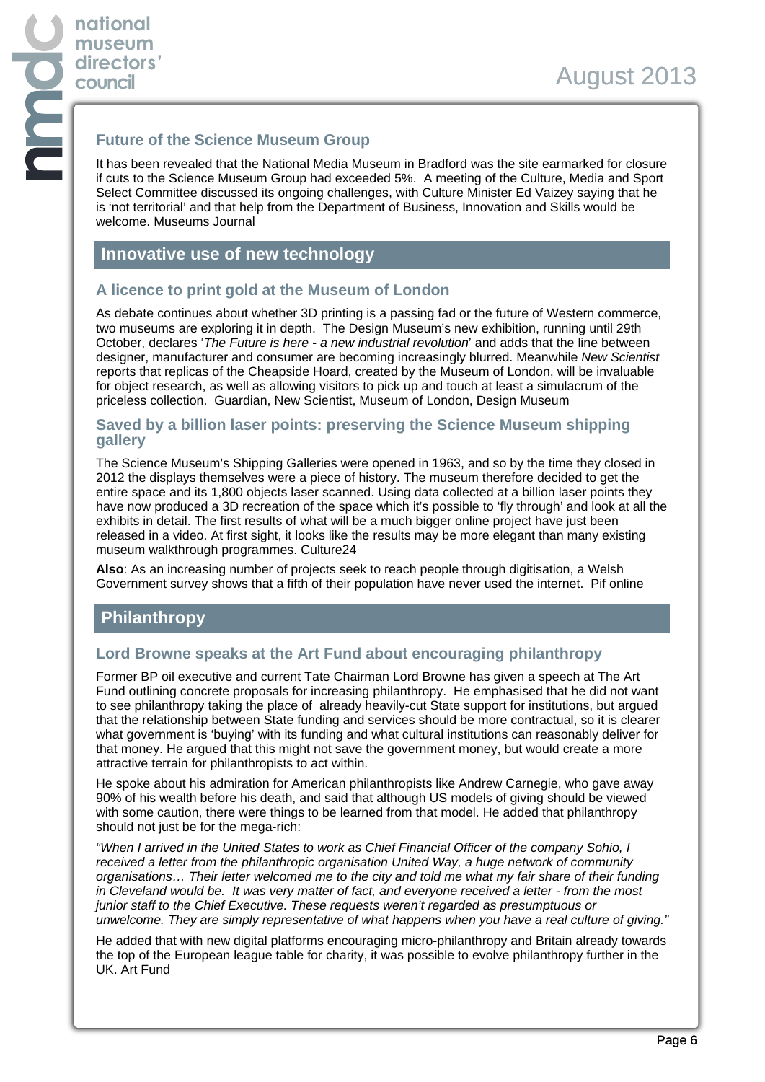## **Future of the Science Museum Group**

It has been revealed that the National Media Museum in Bradford was the site earmarked for closure if cuts to the Science Museum Group had exceeded 5%. A meeting of the Culture, Media and Sport Select Committee discussed its ongoing challenges, with Culture Minister Ed Vaizey saying that he is 'not territorial' and that help from the Department of Business, Innovation and Skills would be welcome. Museums Journal

## **Innovative use of new technology**

### **A licence to print gold at the Museum of London**

As debate continues about whether 3D printing is a passing fad or the future of Western commerce, two museums are exploring it in depth. The Design Museum's new exhibition, running until 29th October, declares 'The Future is here - a new industrial revolution' and adds that the line between designer, manufacturer and consumer are becoming increasingly blurred. Meanwhile New Scientist reports that replicas of the Cheapside Hoard, created by the Museum of London, will be invaluable for object research, as well as allowing visitors to pick up and touch at least a simulacrum of the priceless collection. Guardian, New Scientist, Museum of London, Design Museum

#### **Saved by a billion laser points: preserving the Science Museum shipping gallery**

The Science Museum's Shipping Galleries were opened in 1963, and so by the time they closed in 2012 the displays themselves were a piece of history. The museum therefore decided to get the entire space and its 1,800 objects laser scanned. Using data collected at a billion laser points they have now produced a 3D recreation of the space which it's possible to 'fly through' and look at all the exhibits in detail. The first results of what will be a much bigger online project have just been released in a video. At first sight, it looks like the results may be more elegant than many existing museum walkthrough programmes. Culture24

**Also**: As an increasing number of projects seek to reach people through digitisation, a Welsh Government survey shows that a fifth of their population have never used the internet. Pif online

# **Philanthropy**

### **Lord Browne speaks at the Art Fund about encouraging philanthropy**

Former BP oil executive and current Tate Chairman Lord Browne has given a speech at The Art Fund outlining concrete proposals for increasing philanthropy. He emphasised that he did not want to see philanthropy taking the place of already heavily-cut State support for institutions, but argued that the relationship between State funding and services should be more contractual, so it is clearer what government is 'buying' with its funding and what cultural institutions can reasonably deliver for that money. He argued that this might not save the government money, but would create a more attractive terrain for philanthropists to act within.

He spoke about his admiration for American philanthropists like Andrew Carnegie, who gave away 90% of his wealth before his death, and said that although US models of giving should be viewed with some caution, there were things to be learned from that model. He added that philanthropy should not just be for the mega-rich:

"When I arrived in the United States to work as Chief Financial Officer of the company Sohio, I received a letter from the philanthropic organisation United Way, a huge network of community organisations… Their letter welcomed me to the city and told me what my fair share of their funding in Cleveland would be. It was very matter of fact, and everyone received a letter - from the most junior staff to the Chief Executive. These requests weren't regarded as presumptuous or unwelcome. They are simply representative of what happens when you have a real culture of giving."

He added that with new digital platforms encouraging micro-philanthropy and Britain already towards the top of the European league table for charity, it was possible to evolve philanthropy further in the UK. Art Fund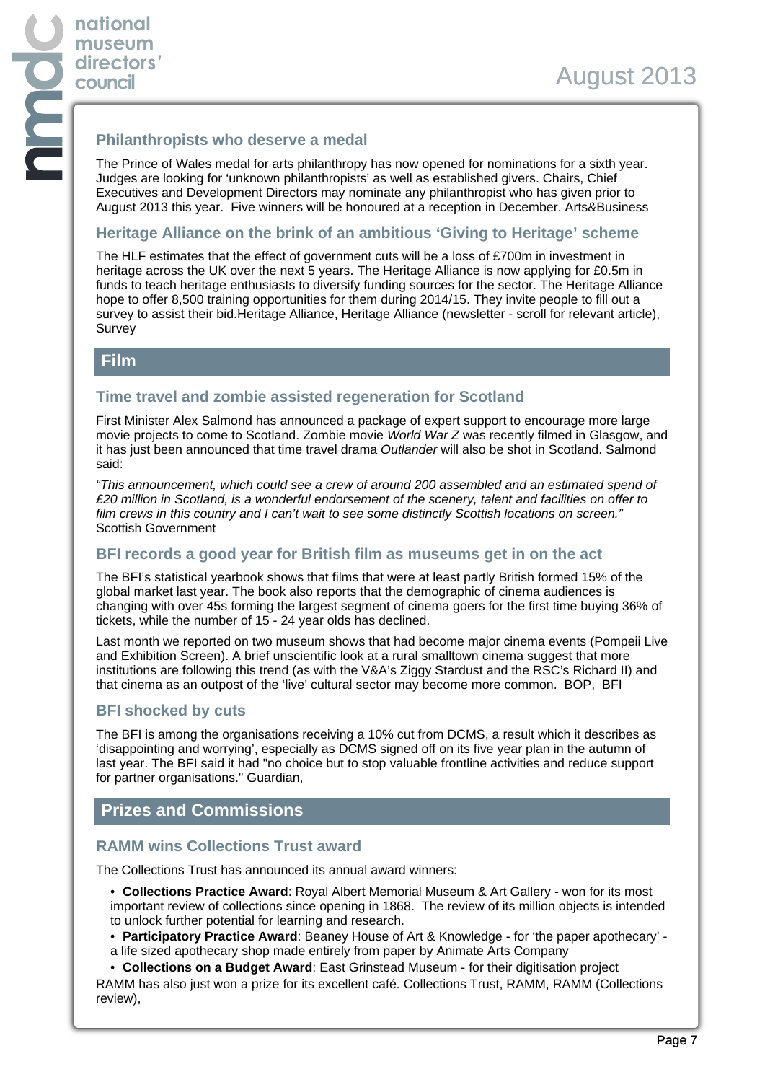### **Philanthropists who deserve a medal**

The Prince of Wales medal for arts philanthropy has now opened for nominations for a sixth year. Judges are looking for 'unknown philanthropists' as well as established givers. Chairs, Chief Executives and Development Directors may nominate any philanthropist who has given prior to August 2013 this year. Five winners will be honoured at a reception in December. Arts&Business

#### **Heritage Alliance on the brink of an ambitious 'Giving to Heritage' scheme**

The HLF estimates that the effect of government cuts will be a loss of £700m in investment in heritage across the UK over the next 5 years. The Heritage Alliance is now applying for £0.5m in funds to teach heritage enthusiasts to diversify funding sources for the sector. The Heritage Alliance hope to offer 8,500 training opportunities for them during 2014/15. They invite people to fill out a survey to assist their bid.Heritage Alliance, Heritage Alliance (newsletter - scroll for relevant article), Survey

## **Film**

### **Time travel and zombie assisted regeneration for Scotland**

First Minister Alex Salmond has announced a package of expert support to encourage more large movie projects to come to Scotland. Zombie movie World War Z was recently filmed in Glasgow, and it has just been announced that time travel drama Outlander will also be shot in Scotland. Salmond said:

"This announcement, which could see a crew of around 200 assembled and an estimated spend of £20 million in Scotland, is a wonderful endorsement of the scenery, talent and facilities on offer to film crews in this country and I can't wait to see some distinctly Scottish locations on screen." Scottish Government

### **BFI records a good year for British film as museums get in on the act**

The BFI's statistical yearbook shows that films that were at least partly British formed 15% of the global market last year. The book also reports that the demographic of cinema audiences is changing with over 45s forming the largest segment of cinema goers for the first time buying 36% of tickets, while the number of 15 - 24 year olds has declined.

Last month we reported on two museum shows that had become major cinema events (Pompeii Live and Exhibition Screen). A brief unscientific look at a rural smalltown cinema suggest that more institutions are following this trend (as with the V&A's Ziggy Stardust and the RSC's Richard II) and that cinema as an outpost of the 'live' cultural sector may become more common. BOP, BFI

### **BFI shocked by cuts**

The BFI is among the organisations receiving a 10% cut from DCMS, a result which it describes as 'disappointing and worrying', especially as DCMS signed off on its five year plan in the autumn of last year. The BFI said it had "no choice but to stop valuable frontline activities and reduce support for partner organisations." Guardian,

## **Prizes and Commissions**

#### **RAMM wins Collections Trust award**

The Collections Trust has announced its annual award winners:

• **Collections Practice Award**: Royal Albert Memorial Museum & Art Gallery - won for its most important review of collections since opening in 1868. The review of its million objects is intended to unlock further potential for learning and research.

- **Participatory Practice Award**: Beaney House of Art & Knowledge for 'the paper apothecary' -
- a life sized apothecary shop made entirely from paper by Animate Arts Company
- **Collections on a Budget Award**: East Grinstead Museum for their digitisation project

RAMM has also just won a prize for its excellent café. Collections Trust, RAMM, RAMM (Collections review),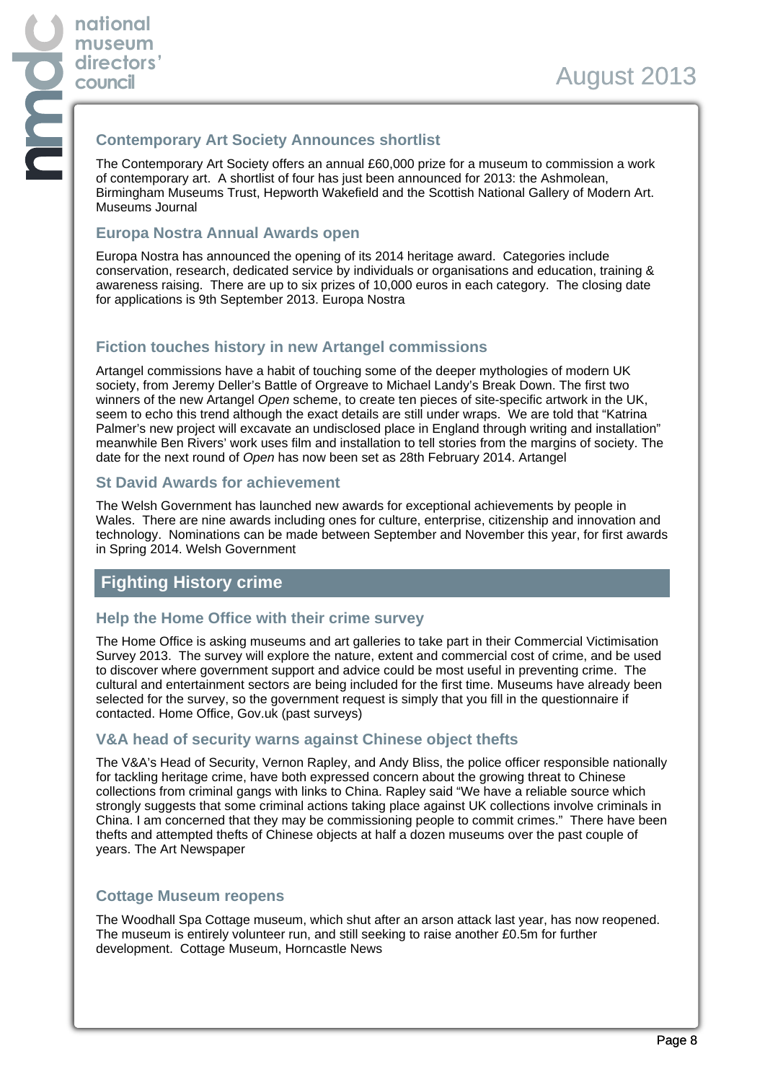## **Contemporary Art Society Announces shortlist**

The Contemporary Art Society offers an annual £60,000 prize for a museum to commission a work of contemporary art. A shortlist of four has just been announced for 2013: the Ashmolean, Birmingham Museums Trust, Hepworth Wakefield and the Scottish National Gallery of Modern Art. Museums Journal

### **Europa Nostra Annual Awards open**

Europa Nostra has announced the opening of its 2014 heritage award. Categories include conservation, research, dedicated service by individuals or organisations and education, training & awareness raising. There are up to six prizes of 10,000 euros in each category. The closing date for applications is 9th September 2013. Europa Nostra

# **Fiction touches history in new Artangel commissions**

Artangel commissions have a habit of touching some of the deeper mythologies of modern UK society, from Jeremy Deller's Battle of Orgreave to Michael Landy's Break Down. The first two winners of the new Artangel Open scheme, to create ten pieces of site-specific artwork in the UK, seem to echo this trend although the exact details are still under wraps. We are told that "Katrina Palmer's new project will excavate an undisclosed place in England through writing and installation" meanwhile Ben Rivers' work uses film and installation to tell stories from the margins of society. The date for the next round of Open has now been set as 28th February 2014. Artangel

## **St David Awards for achievement**

The Welsh Government has launched new awards for exceptional achievements by people in Wales. There are nine awards including ones for culture, enterprise, citizenship and innovation and technology. Nominations can be made between September and November this year, for first awards in Spring 2014. Welsh Government

# **Fighting History crime**

## **Help the Home Office with their crime survey**

The Home Office is asking museums and art galleries to take part in their Commercial Victimisation Survey 2013. The survey will explore the nature, extent and commercial cost of crime, and be used to discover where government support and advice could be most useful in preventing crime. The cultural and entertainment sectors are being included for the first time. Museums have already been selected for the survey, so the government request is simply that you fill in the questionnaire if contacted. Home Office, Gov.uk (past surveys)

### **V&A head of security warns against Chinese object thefts**

The V&A's Head of Security, Vernon Rapley, and Andy Bliss, the police officer responsible nationally for tackling heritage crime, have both expressed concern about the growing threat to Chinese collections from criminal gangs with links to China. Rapley said "We have a reliable source which strongly suggests that some criminal actions taking place against UK collections involve criminals in China. I am concerned that they may be commissioning people to commit crimes." There have been thefts and attempted thefts of Chinese objects at half a dozen museums over the past couple of years. The Art Newspaper

## **Cottage Museum reopens**

The Woodhall Spa Cottage museum, which shut after an arson attack last year, has now reopened. The museum is entirely volunteer run, and still seeking to raise another £0.5m for further development. Cottage Museum, Horncastle News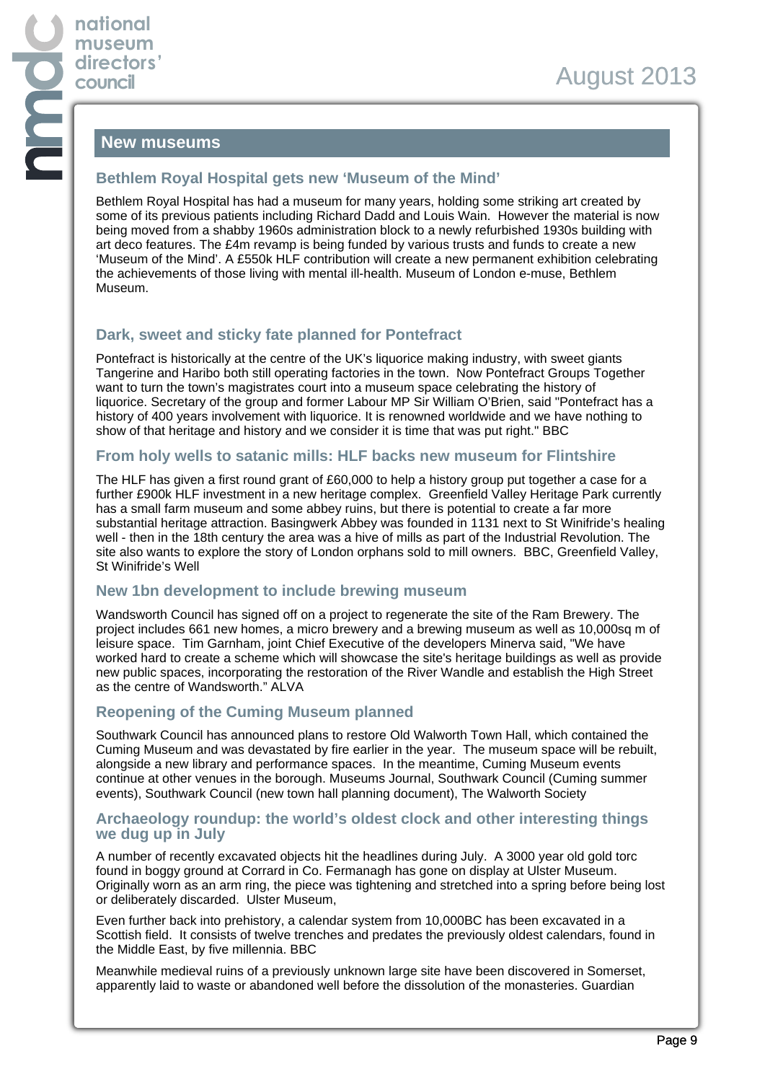## **New museums**

### **Bethlem Royal Hospital gets new 'Museum of the Mind'**

Bethlem Royal Hospital has had a museum for many years, holding some striking art created by some of its previous patients including Richard Dadd and Louis Wain. However the material is now being moved from a shabby 1960s administration block to a newly refurbished 1930s building with art deco features. The £4m revamp is being funded by various trusts and funds to create a new 'Museum of the Mind'. A £550k HLF contribution will create a new permanent exhibition celebrating the achievements of those living with mental ill-health. Museum of London e-muse, Bethlem Museum.

### **Dark, sweet and sticky fate planned for Pontefract**

Pontefract is historically at the centre of the UK's liquorice making industry, with sweet giants Tangerine and Haribo both still operating factories in the town. Now Pontefract Groups Together want to turn the town's magistrates court into a museum space celebrating the history of liquorice. Secretary of the group and former Labour MP Sir William O'Brien, said "Pontefract has a history of 400 years involvement with liquorice. It is renowned worldwide and we have nothing to show of that heritage and history and we consider it is time that was put right." BBC

## **From holy wells to satanic mills: HLF backs new museum for Flintshire**

The HLF has given a first round grant of £60,000 to help a history group put together a case for a further £900k HLF investment in a new heritage complex. Greenfield Valley Heritage Park currently has a small farm museum and some abbey ruins, but there is potential to create a far more substantial heritage attraction. Basingwerk Abbey was founded in 1131 next to St Winifride's healing well - then in the 18th century the area was a hive of mills as part of the Industrial Revolution. The site also wants to explore the story of London orphans sold to mill owners. BBC, Greenfield Valley, St Winifride's Well

### **New 1bn development to include brewing museum**

Wandsworth Council has signed off on a project to regenerate the site of the Ram Brewery. The project includes 661 new homes, a micro brewery and a brewing museum as well as 10,000sq m of leisure space. Tim Garnham, joint Chief Executive of the developers Minerva said, "We have worked hard to create a scheme which will showcase the site's heritage buildings as well as provide new public spaces, incorporating the restoration of the River Wandle and establish the High Street as the centre of Wandsworth." ALVA

## **Reopening of the Cuming Museum planned**

Southwark Council has announced plans to restore Old Walworth Town Hall, which contained the Cuming Museum and was devastated by fire earlier in the year. The museum space will be rebuilt, alongside a new library and performance spaces. In the meantime, Cuming Museum events continue at other venues in the borough. Museums Journal, Southwark Council (Cuming summer events), Southwark Council (new town hall planning document), The Walworth Society

#### **Archaeology roundup: the world's oldest clock and other interesting things we dug up in July**

A number of recently excavated objects hit the headlines during July. A 3000 year old gold torc found in boggy ground at Corrard in Co. Fermanagh has gone on display at Ulster Museum. Originally worn as an arm ring, the piece was tightening and stretched into a spring before being lost or deliberately discarded. Ulster Museum,

Even further back into prehistory, a calendar system from 10,000BC has been excavated in a Scottish field. It consists of twelve trenches and predates the previously oldest calendars, found in the Middle East, by five millennia. BBC

Meanwhile medieval ruins of a previously unknown large site have been discovered in Somerset, apparently laid to waste or abandoned well before the dissolution of the monasteries. Guardian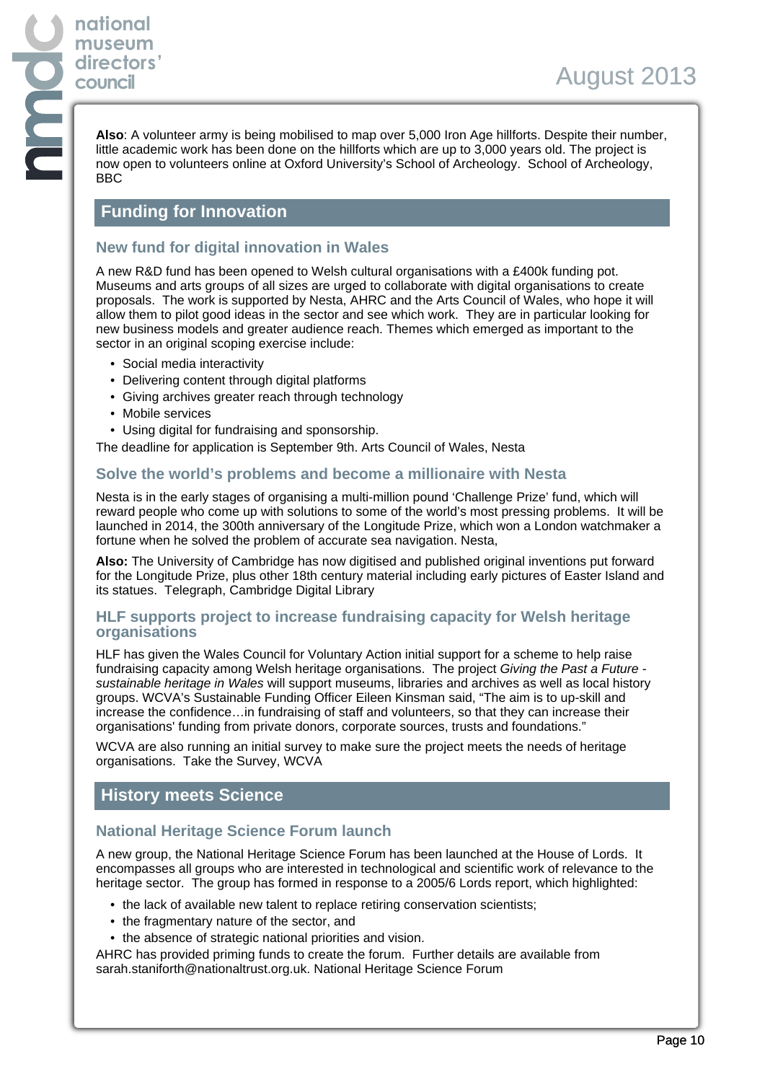**Also**: A volunteer army is being mobilised to map over 5,000 Iron Age hillforts. Despite their number, little academic work has been done on the hillforts which are up to 3,000 years old. The project is now open to volunteers online at Oxford University's School of Archeology. School of Archeology, BBC

# **Funding for Innovation**

### **New fund for digital innovation in Wales**

A new R&D fund has been opened to Welsh cultural organisations with a £400k funding pot. Museums and arts groups of all sizes are urged to collaborate with digital organisations to create proposals. The work is supported by Nesta, AHRC and the Arts Council of Wales, who hope it will allow them to pilot good ideas in the sector and see which work. They are in particular looking for new business models and greater audience reach. Themes which emerged as important to the sector in an original scoping exercise include:

- Social media interactivity
- Delivering content through digital platforms
- Giving archives greater reach through technology
- Mobile services
- Using digital for fundraising and sponsorship.

The deadline for application is September 9th. Arts Council of Wales, Nesta

#### **Solve the world's problems and become a millionaire with Nesta**

Nesta is in the early stages of organising a multi-million pound 'Challenge Prize' fund, which will reward people who come up with solutions to some of the world's most pressing problems. It will be launched in 2014, the 300th anniversary of the Longitude Prize, which won a London watchmaker a fortune when he solved the problem of accurate sea navigation. Nesta,

**Also:** The University of Cambridge has now digitised and published original inventions put forward for the Longitude Prize, plus other 18th century material including early pictures of Easter Island and its statues. Telegraph, Cambridge Digital Library

#### **HLF supports project to increase fundraising capacity for Welsh heritage organisations**

HLF has given the Wales Council for Voluntary Action initial support for a scheme to help raise fundraising capacity among Welsh heritage organisations. The project Giving the Past a Future sustainable heritage in Wales will support museums, libraries and archives as well as local history groups. WCVA's Sustainable Funding Officer Eileen Kinsman said, "The aim is to up-skill and increase the confidence…in fundraising of staff and volunteers, so that they can increase their organisations' funding from private donors, corporate sources, trusts and foundations."

WCVA are also running an initial survey to make sure the project meets the needs of heritage organisations. Take the Survey, WCVA

## **History meets Science**

### **National Heritage Science Forum launch**

A new group, the National Heritage Science Forum has been launched at the House of Lords. It encompasses all groups who are interested in technological and scientific work of relevance to the heritage sector. The group has formed in response to a 2005/6 Lords report, which highlighted:

- the lack of available new talent to replace retiring conservation scientists;
- the fragmentary nature of the sector, and
- the absence of strategic national priorities and vision.

AHRC has provided priming funds to create the forum. Further details are available from sarah.staniforth@nationaltrust.org.uk. National Heritage Science Forum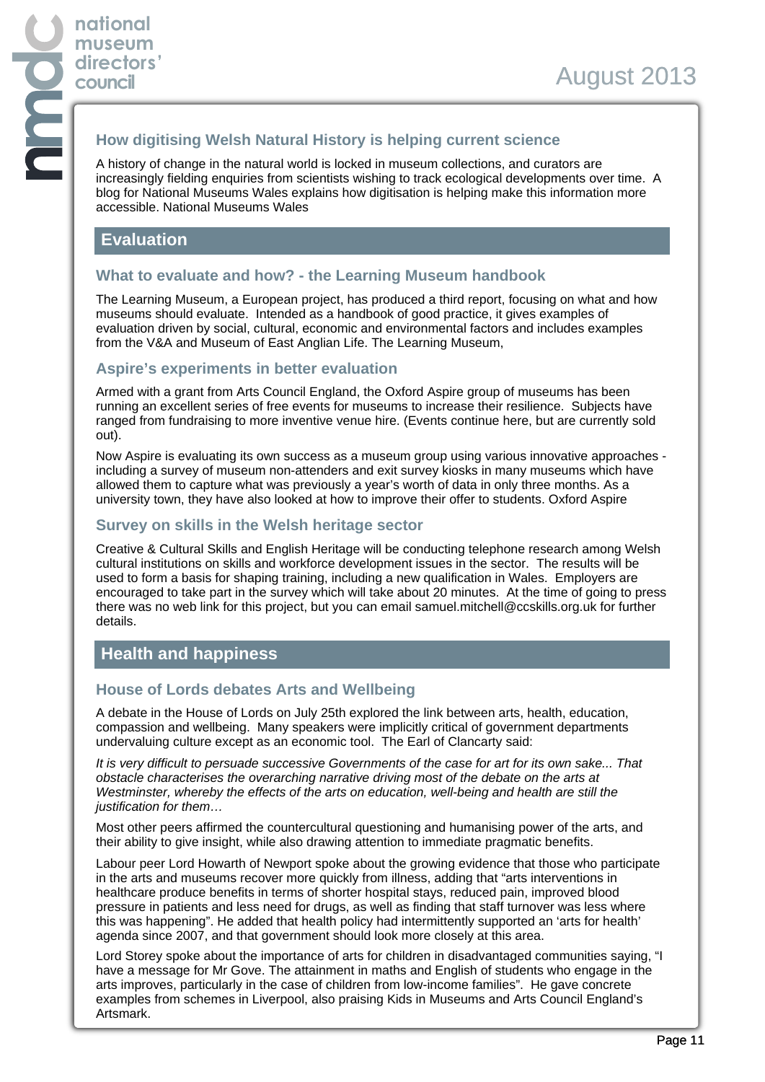## **How digitising Welsh Natural History is helping current science**

A history of change in the natural world is locked in museum collections, and curators are increasingly fielding enquiries from scientists wishing to track ecological developments over time. A blog for National Museums Wales explains how digitisation is helping make this information more accessible. National Museums Wales

# **Evaluation**

## **What to evaluate and how? - the Learning Museum handbook**

The Learning Museum, a European project, has produced a third report, focusing on what and how museums should evaluate. Intended as a handbook of good practice, it gives examples of evaluation driven by social, cultural, economic and environmental factors and includes examples from the V&A and Museum of East Anglian Life. The Learning Museum,

#### **Aspire's experiments in better evaluation**

Armed with a grant from Arts Council England, the Oxford Aspire group of museums has been running an excellent series of free events for museums to increase their resilience. Subjects have ranged from fundraising to more inventive venue hire. (Events continue here, but are currently sold out).

Now Aspire is evaluating its own success as a museum group using various innovative approaches including a survey of museum non-attenders and exit survey kiosks in many museums which have allowed them to capture what was previously a year's worth of data in only three months. As a university town, they have also looked at how to improve their offer to students. Oxford Aspire

### **Survey on skills in the Welsh heritage sector**

Creative & Cultural Skills and English Heritage will be conducting telephone research among Welsh cultural institutions on skills and workforce development issues in the sector. The results will be used to form a basis for shaping training, including a new qualification in Wales. Employers are encouraged to take part in the survey which will take about 20 minutes. At the time of going to press there was no web link for this project, but you can email samuel.mitchell@ccskills.org.uk for further details.

# **Health and happiness**

### **House of Lords debates Arts and Wellbeing**

A debate in the House of Lords on July 25th explored the link between arts, health, education, compassion and wellbeing. Many speakers were implicitly critical of government departments undervaluing culture except as an economic tool. The Earl of Clancarty said:

It is very difficult to persuade successive Governments of the case for art for its own sake... That obstacle characterises the overarching narrative driving most of the debate on the arts at Westminster, whereby the effects of the arts on education, well-being and health are still the justification for them…

Most other peers affirmed the countercultural questioning and humanising power of the arts, and their ability to give insight, while also drawing attention to immediate pragmatic benefits.

Labour peer Lord Howarth of Newport spoke about the growing evidence that those who participate in the arts and museums recover more quickly from illness, adding that "arts interventions in healthcare produce benefits in terms of shorter hospital stays, reduced pain, improved blood pressure in patients and less need for drugs, as well as finding that staff turnover was less where this was happening". He added that health policy had intermittently supported an 'arts for health' agenda since 2007, and that government should look more closely at this area.

Lord Storey spoke about the importance of arts for children in disadvantaged communities saying, "I have a message for Mr Gove. The attainment in maths and English of students who engage in the arts improves, particularly in the case of children from low-income families". He gave concrete examples from schemes in Liverpool, also praising Kids in Museums and Arts Council England's Artsmark.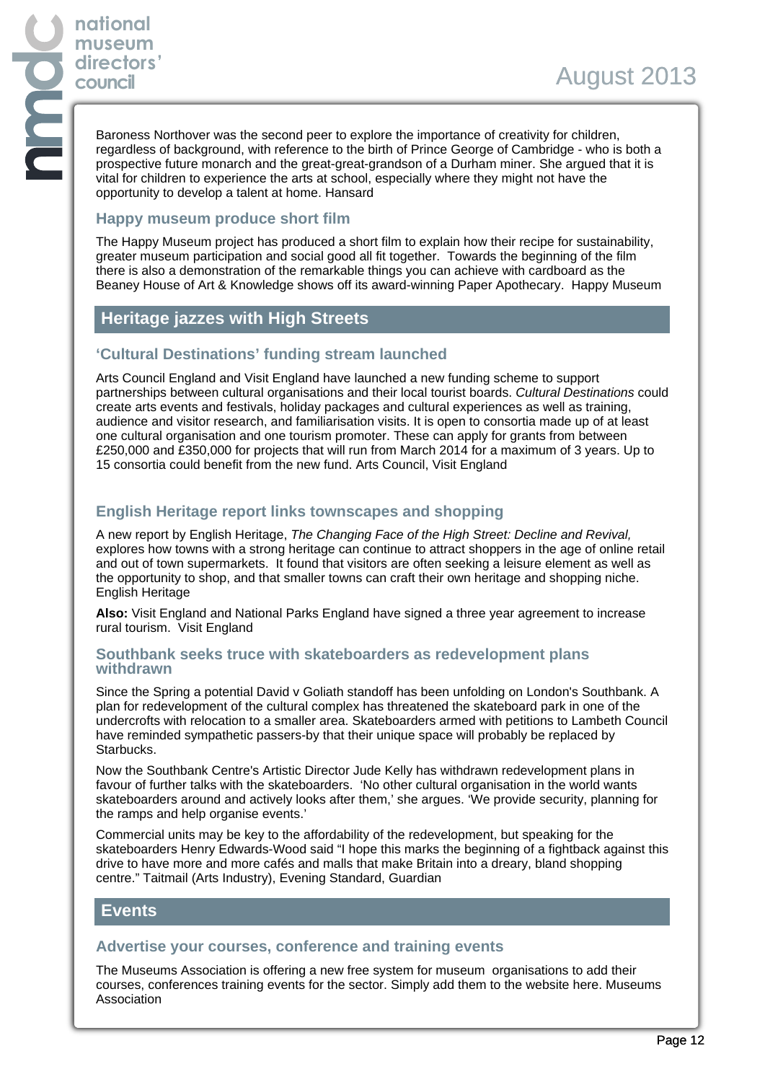Baroness Northover was the second peer to explore the importance of creativity for children, regardless of background, with reference to the birth of Prince George of Cambridge - who is both a prospective future monarch and the great-great-grandson of a Durham miner. She argued that it is vital for children to experience the arts at school, especially where they might not have the opportunity to develop a talent at home. Hansard

### **Happy museum produce short film**

The Happy Museum project has produced a short film to explain how their recipe for sustainability, greater museum participation and social good all fit together. Towards the beginning of the film there is also a demonstration of the remarkable things you can achieve with cardboard as the Beaney House of Art & Knowledge shows off its award-winning Paper Apothecary. Happy Museum

# **Heritage jazzes with High Streets**

# **'Cultural Destinations' funding stream launched**

Arts Council England and Visit England have launched a new funding scheme to support partnerships between cultural organisations and their local tourist boards. Cultural Destinations could create arts events and festivals, holiday packages and cultural experiences as well as training, audience and visitor research, and familiarisation visits. It is open to consortia made up of at least one cultural organisation and one tourism promoter. These can apply for grants from between £250,000 and £350,000 for projects that will run from March 2014 for a maximum of 3 years. Up to 15 consortia could benefit from the new fund. Arts Council, Visit England

# **English Heritage report links townscapes and shopping**

A new report by English Heritage, The Changing Face of the High Street: Decline and Revival, explores how towns with a strong heritage can continue to attract shoppers in the age of online retail and out of town supermarkets. It found that visitors are often seeking a leisure element as well as the opportunity to shop, and that smaller towns can craft their own heritage and shopping niche. English Heritage

**Also:** Visit England and National Parks England have signed a three year agreement to increase rural tourism. Visit England

#### **Southbank seeks truce with skateboarders as redevelopment plans withdrawn**

Since the Spring a potential David v Goliath standoff has been unfolding on London's Southbank. A plan for redevelopment of the cultural complex has threatened the skateboard park in one of the undercrofts with relocation to a smaller area. Skateboarders armed with petitions to Lambeth Council have reminded sympathetic passers-by that their unique space will probably be replaced by Starbucks.

Now the Southbank Centre's Artistic Director Jude Kelly has withdrawn redevelopment plans in favour of further talks with the skateboarders. 'No other cultural organisation in the world wants skateboarders around and actively looks after them,' she argues. 'We provide security, planning for the ramps and help organise events.'

Commercial units may be key to the affordability of the redevelopment, but speaking for the skateboarders Henry Edwards-Wood said "I hope this marks the beginning of a fightback against this drive to have more and more cafés and malls that make Britain into a dreary, bland shopping centre." Taitmail (Arts Industry), Evening Standard, Guardian

# **Events**

## **Advertise your courses, conference and training events**

The Museums Association is offering a new free system for museum organisations to add their courses, conferences training events for the sector. Simply add them to the website here. Museums Association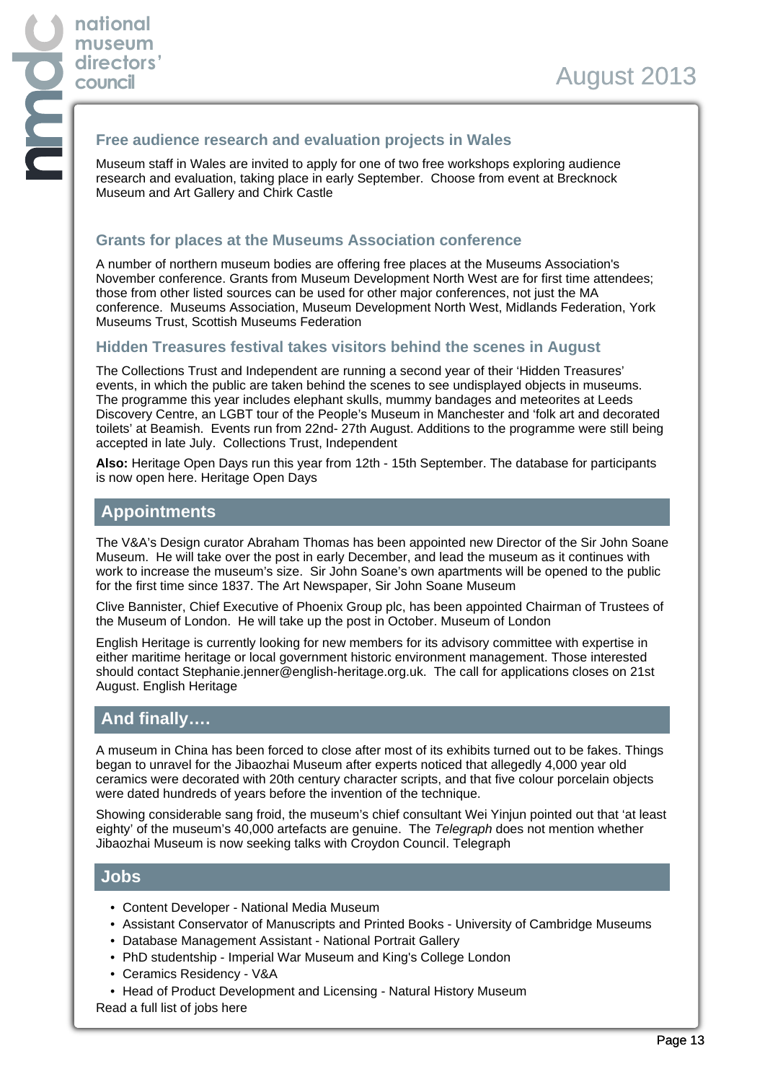### **Free audience research and evaluation projects in Wales**

Museum staff in Wales are invited to apply for one of two free workshops exploring audience research and evaluation, taking place in early September. Choose from event at Brecknock Museum and Art Gallery and Chirk Castle

## **Grants for places at the Museums Association conference**

A number of northern museum bodies are offering free places at the Museums Association's November conference. Grants from Museum Development North West are for first time attendees; those from other listed sources can be used for other major conferences, not just the MA conference. Museums Association, Museum Development North West, Midlands Federation, York Museums Trust, Scottish Museums Federation

### **Hidden Treasures festival takes visitors behind the scenes in August**

The Collections Trust and Independent are running a second year of their 'Hidden Treasures' events, in which the public are taken behind the scenes to see undisplayed objects in museums. The programme this year includes elephant skulls, mummy bandages and meteorites at Leeds Discovery Centre, an LGBT tour of the People's Museum in Manchester and 'folk art and decorated toilets' at Beamish. Events run from 22nd- 27th August. Additions to the programme were still being accepted in late July. Collections Trust, Independent

**Also:** Heritage Open Days run this year from 12th - 15th September. The database for participants is now open here. Heritage Open Days

# **Appointments**

The V&A's Design curator Abraham Thomas has been appointed new Director of the Sir John Soane Museum. He will take over the post in early December, and lead the museum as it continues with work to increase the museum's size. Sir John Soane's own apartments will be opened to the public for the first time since 1837. The Art Newspaper, Sir John Soane Museum

Clive Bannister, Chief Executive of Phoenix Group plc, has been appointed Chairman of Trustees of the Museum of London. He will take up the post in October. Museum of London

English Heritage is currently looking for new members for its advisory committee with expertise in either maritime heritage or local government historic environment management. Those interested should contact Stephanie.jenner@english-heritage.org.uk. The call for applications closes on 21st August. English Heritage

# **And finally….**

A museum in China has been forced to close after most of its exhibits turned out to be fakes. Things began to unravel for the Jibaozhai Museum after experts noticed that allegedly 4,000 year old ceramics were decorated with 20th century character scripts, and that five colour porcelain objects were dated hundreds of years before the invention of the technique.

Showing considerable sang froid, the museum's chief consultant Wei Yinjun pointed out that 'at least eighty' of the museum's 40,000 artefacts are genuine. The Telegraph does not mention whether Jibaozhai Museum is now seeking talks with Croydon Council. Telegraph

## **Jobs**

- Content Developer National Media Museum
- Assistant Conservator of Manuscripts and Printed Books University of Cambridge Museums
- Database Management Assistant National Portrait Gallery
- PhD studentship Imperial War Museum and King's College London
- Ceramics Residency V&A
- Head of Product Development and Licensing Natural History Museum
- Read a full list of jobs here